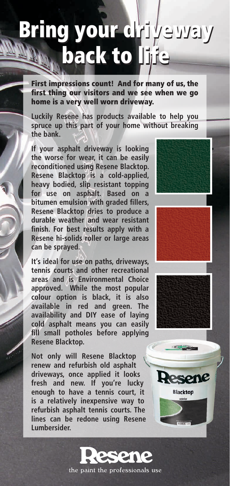## **Bring your dri**yeway back to li<sub>l</sub>ie

First impressions count! And for many of us, the first thing our visitors and we see when we go home is a very well worn driveway.

**Luckily Resene has products available to help you spruce up this part of your home without breaking the bank.**

**If your asphalt driveway is looking the worse for wear, it can be easily reconditioned using Resene Blacktop. Resene Blacktop is a cold-applied, heavy bodied, slip resistant topping for use on asphalt. Based on a bitumen emulsion with graded fillers, Resene Blacktop dries to produce a durable weather and wear resistant finish. For best results apply with a Resene hi-solids roller or large areas can be sprayed.** 

**It's ideal for use on paths, driveways, tennis courts and other recreational areas and is Environmental Choice approved. While the most popular colour option is black, it is also available in red and green. The availability and DIY ease of laying cold asphalt means you can easily fill small potholes before applying Resene Blacktop.**

**Not only will Resene Blacktop renew and refurbish old asphalt driveways, once applied it looks fresh and new. If you're lucky enough to have a tennis court, it is a relatively inexpensive way to refurbish asphalt tennis courts. The lines can be redone using Resene Lumbersider.**







**Blacktop**